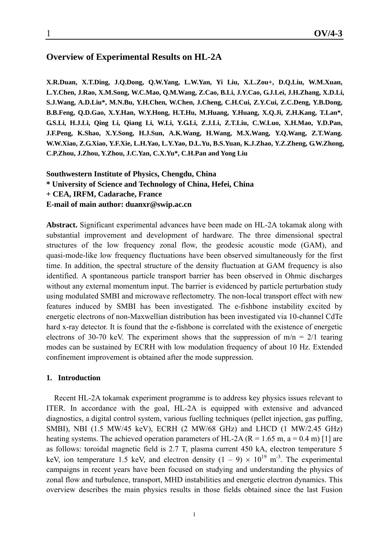# **Overview of Experimental Results on HL-2A**

**X.R.Duan, X.T.Ding, J.Q.Dong, Q.W.Yang, L.W.Yan, Yi Liu, X.L.Zou+, D.Q.Liu, W.M.Xuan, L.Y.Chen, J.Rao, X.M.Song, W.C.Mao, Q.M.Wang, Z.Cao, B.Li, J.Y.Cao, G.J.Lei, J.H.Zhang, X.D.Li, S.J.Wang, A.D.Liu\*, M.N.Bu, Y.H.Chen, W.Chen, J.Cheng, C.H.Cui, Z.Y.Cui, Z.C.Deng, Y.B.Dong, B.B.Feng, Q.D.Gao, X.Y.Han, W.Y.Hong, H.T.Hu, M.Huang, Y.Huang, X.Q.Ji, Z.H.Kang, T.Lan\*, G.S.Li, H.J.Li, Qing Li, Qiang Li, W.Li, Y.G.Li, Z.J.Li, Z.T.Liu, C.W.Luo, X.H.Mao, Y.D.Pan, J.F.Peng, K.Shao, X.Y.Song, H.J.Sun, A.K.Wang, H.Wang, M.X.Wang, Y.Q.Wang, Z.T.Wang. W.W.Xiao, Z.G.Xiao, Y.F.Xie, L.H.Yao, L.Y.Yao, D.L.Yu, B.S.Yuan, K.J.Zhao, Y.Z.Zheng, G.W.Zhong, C.P.Zhou, J.Zhou, Y.Zhou, J.C.Yan, C.X.Yu\*, C.H.Pan and Yong Liu** 

**Southwestern Institute of Physics, Chengdu, China** 

**\* University of Science and Technology of China, Hefei, China** 

**+ CEA, IRFM, Cadarache, France** 

**E-mail of main author: duanxr@swip.ac.cn** 

**Abstract.** Significant experimental advances have been made on HL-2A tokamak along with substantial improvement and development of hardware. The three dimensional spectral structures of the low frequency zonal flow, the geodesic acoustic mode (GAM), and quasi-mode-like low frequency fluctuations have been observed simultaneously for the first time. In addition, the spectral structure of the density fluctuation at GAM frequency is also identified. A spontaneous particle transport barrier has been observed in Ohmic discharges without any external momentum input. The barrier is evidenced by particle perturbation study using modulated SMBI and microwave reflectometry. The non-local transport effect with new features induced by SMBI has been investigated. The e-fishbone instability excited by energetic electrons of non-Maxwellian distribution has been investigated via 10-channel CdTe hard x-ray detector. It is found that the e-fishbone is correlated with the existence of energetic electrons of 30-70 keV. The experiment shows that the suppression of  $m/n = 2/1$  tearing modes can be sustained by ECRH with low modulation frequency of about 10 Hz. Extended confinement improvement is obtained after the mode suppression.

### **1. Introduction**

 Recent HL-2A tokamak experiment programme is to address key physics issues relevant to ITER. In accordance with the goal, HL-2A is equipped with extensive and advanced diagnostics, a digital control system, various fuelling techniques (pellet injection, gas puffing, SMBI), NBI (1.5 MW/45 keV), ECRH (2 MW/68 GHz) and LHCD (1 MW/2.45 GHz) heating systems. The achieved operation parameters of HL-2A ( $R = 1.65$  m,  $a = 0.4$  m) [1] are as follows: toroidal magnetic field is 2.7 T, plasma current 450 kA, electron temperature 5 keV, ion temperature 1.5 keV, and electron density  $(1 - 9) \times 10^{19}$  m<sup>-3</sup>. The experimental campaigns in recent years have been focused on studying and understanding the physics of zonal flow and turbulence, transport, MHD instabilities and energetic electron dynamics. This overview describes the main physics results in those fields obtained since the last Fusion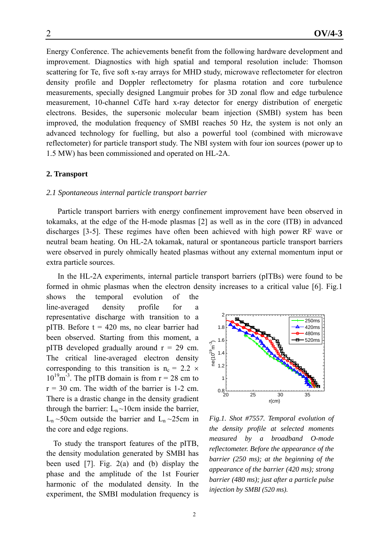Energy Conference. The achievements benefit from the following hardware development and improvement. Diagnostics with high spatial and temporal resolution include: Thomson scattering for Te, five soft x-ray arrays for MHD study, microwave reflectometer for electron density profile and Doppler reflectometry for plasma rotation and core turbulence measurements, specially designed Langmuir probes for 3D zonal flow and edge turbulence measurement, 10-channel CdTe hard x-ray detector for energy distribution of energetic electrons. Besides, the supersonic molecular beam injection (SMBI) system has been improved, the modulation frequency of SMBI reaches 50 Hz, the system is not only an advanced technology for fuelling, but also a powerful tool (combined with microwave reflectometer) for particle transport study. The NBI system with four ion sources (power up to 1.5 MW) has been commissioned and operated on HL-2A.

### **2. Transport**

### *2.1 Spontaneous internal particle transport barrier*

Particle transport barriers with energy confinement improvement have been observed in tokamaks, at the edge of the H-mode plasmas [2] as well as in the core (ITB) in advanced discharges [3-5]. These regimes have often been achieved with high power RF wave or neutral beam heating. On HL-2A tokamak, natural or spontaneous particle transport barriers were observed in purely ohmically heated plasmas without any external momentum input or extra particle sources.

In the HL-2A experiments, internal particle transport barriers (pITBs) were found to be formed in ohmic plasmas when the electron density increases to a critical value [6]. Fig.1

shows the temporal evolution of the line-averaged density profile for a representative discharge with transition to a pITB. Before  $t = 420$  ms, no clear barrier had been observed. Starting from this moment, a pITB developed gradually around  $r = 29$  cm. The critical line-averaged electron density corresponding to this transition is  $n_c = 2.2 \times$  $10^{19}$ m<sup>-3</sup>. The pITB domain is from  $r = 28$  cm to  $r = 30$  cm. The width of the barrier is 1-2 cm. There is a drastic change in the density gradient through the barrier:  $L_n \sim 10$ cm inside the barrier,  $L_n \sim 50$ cm outside the barrier and  $L_n \sim 25$ cm in the core and edge regions.

To study the transport features of the pITB, the density modulation generated by SMBI has been used [7]. Fig. 2(a) and (b) display the phase and the amplitude of the 1st Fourier harmonic of the modulated density. In the experiment, the SMBI modulation frequency is



*Fig.1. Shot #7557. Temporal evolution of the density profile at selected moments measured by a broadband O-mode reflectometer. Before the appearance of the barrier (250 ms); at the beginning of the appearance of the barrier (420 ms); strong barrier (480 ms); just after a particle pulse injection by SMBI (520 ms).*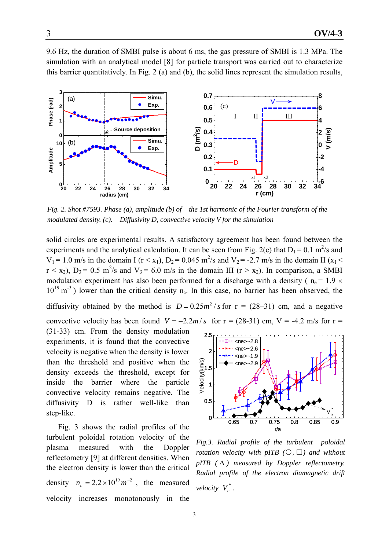9.6 Hz, the duration of SMBI pulse is about 6 ms, the gas pressure of SMBI is 1.3 MPa. The simulation with an analytical model [8] for particle transport was carried out to characterize this barrier quantitatively. In Fig. 2 (a) and (b), the solid lines represent the simulation results,



*Fig. 2. Shot #7593. Phase (a), amplitude (b) of the 1st harmonic of the Fourier transform of the modulated density. (c). Diffusivity D, convective velocity V for the simulation*

solid circles are experimental results. A satisfactory agreement has been found between the experiments and the analytical calculation. It can be seen from Fig. 2(c) that  $D_1 = 0.1$  m<sup>2</sup>/s and  $V_1 = 1.0$  m/s in the domain I (r < x<sub>1</sub>), D<sub>2</sub> = 0.045 m<sup>2</sup>/s and V<sub>2</sub> = -2.7 m/s in the domain II (x<sub>1</sub> <  $r < x_2$ ),  $D_3 = 0.5$  m<sup>2</sup>/s and  $V_3 = 6.0$  m/s in the domain III ( $r > x_2$ ). In comparison, a SMBI modulation experiment has also been performed for a discharge with a density ( $n_e$  = 1.9  $\times$  $10^{19}$  m<sup>-3</sup>) lower than the critical density n<sub>c</sub>. In this case, no barrier has been observed, the

diffusivity obtained by the method is  $D = 0.25m^2 / s$  for  $r = (28-31)$  cm, and a negative convective velocity has been found  $V = -2.2m/s$  for r = (28-31) cm, V = -4.2 m/s for r =

(31-33) cm. From the density modulation experiments, it is found that the convective velocity is negative when the density is lower than the threshold and positive when the density exceeds the threshold, except for inside the barrier where the particle convective velocity remains negative. The diffusivity D is rather well-like than step-like.

Fig. 3 shows the radial profiles of the turbulent poloidal rotation velocity of the plasma measured with the Doppler reflectometry [9] at different densities. When the electron density is lower than the critical density  $n_c = 2.2 \times 10^{19} m^{-2}$ , the measured velocity increases monotonously in the



*Fig.3. Radial profile of the turbulent poloidal rotation velocity with pITB*  $(O, \Box)$  *and without pITB (* Δ *) measured by Doppler reflectometry. Radial profile of the electron diamagnetic drift velocity*  $V_e^*$ .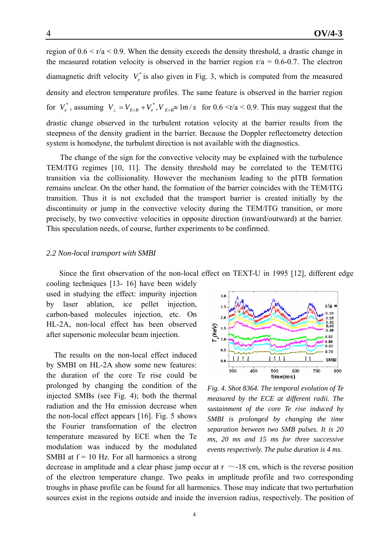region of  $0.6 < r/a < 0.9$ . When the density exceeds the density threshold, a drastic change in the measured rotation velocity is observed in the barrier region  $r/a = 0.6$ -0.7. The electron diamagnetic drift velocity  $V_e^*$  is also given in Fig. 3, which is computed from the measured density and electron temperature profiles. The same feature is observed in the barrier region for  $V_e^*$ , assuming  $V_{\perp} = V_{E \times B} + V_e^*$ ,  $V_{E \times B} \approx 1 m/s$  for 0.6  $\leq r/a \leq 0.9$ . This may suggest that the drastic change observed in the turbulent rotation velocity at the barrier results from the steepness of the density gradient in the barrier. Because the Doppler reflectometry detection system is homodyne, the turbulent direction is not available with the diagnostics.

The change of the sign for the convective velocity may be explained with the turbulence TEM/ITG regimes [10, 11]. The density threshold may be correlated to the TEM/ITG transition via the collisionality. However the mechanism leading to the pITB formation remains unclear. On the other hand, the formation of the barrier coincides with the TEM/ITG transition. Thus it is not excluded that the transport barrier is created initially by the discontinuity or jump in the convective velocity during the TEM/ITG transition, or more precisely, by two convective velocities in opposite direction (inward/outward) at the barrier. This speculation needs, of course, further experiments to be confirmed.

### *2.2 Non-local transport with SMBI*

Since the first observation of the non-local effect on TEXT-U in 1995 [12], different edge

cooling techniques [13- 16] have been widely used in studying the effect: impurity injection by laser ablation, ice pellet injection, carbon-based molecules injection, etc. On HL-2A, non-local effect has been observed after supersonic molecular beam injection.

The results on the non-local effect induced by SMBI on HL-2A show some new features: the duration of the core Te rise could be prolonged by changing the condition of the injected SMBs (see Fig. 4); both the thermal radiation and the Hα emission decrease when the non-local effect appears [16]. Fig. 5 shows the Fourier transformation of the electron temperature measured by ECE when the Te modulation was induced by the modulated SMBI at  $f = 10$  Hz. For all harmonics a strong



*Fig. 4. Shot 8364. The temporal evolution of Te measured by the ECE at different radii. The sustainment of the core Te rise induced by SMBI is prolonged by changing the time separation between two SMB pulses. It is 20 ms, 20 ms and 15 ms for three successive events respectively. The pulse duration is 4 ms.*

decrease in amplitude and a clear phase jump occur at  $r \sim$ -18 cm, which is the reverse position of the electron temperature change. Two peaks in amplitude profile and two corresponding troughs in phase profile can be found for all harmonics. Those may indicate that two perturbation sources exist in the regions outside and inside the inversion radius, respectively. The position of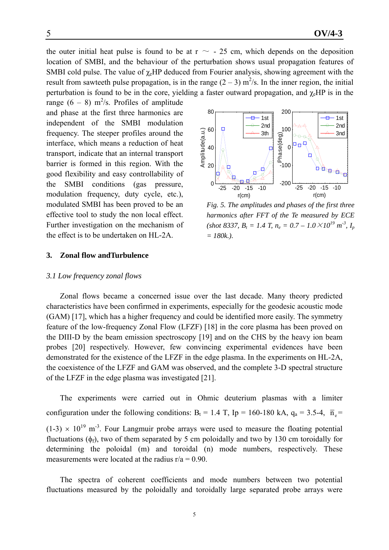the outer initial heat pulse is found to be at  $r \sim -25$  cm, which depends on the deposition location of SMBI, and the behaviour of the perturbation shows usual propagation features of SMBI cold pulse. The value of  $\chi$ <sup>e</sup>HP deduced from Fourier analysis, showing agreement with the result from sawteeth pulse propagation, is in the range  $(2-3)$  m<sup>2</sup>/s. In the inner region, the initial perturbation is found to be in the core, yielding a faster outward propagation, and  $\chi_e H$ P is in the

range  $(6 - 8)$  m<sup>2</sup>/s. Profiles of amplitude and phase at the first three harmonics are independent of the SMBI modulation frequency. The steeper profiles around the interface, which means a reduction of heat transport, indicate that an internal transport barrier is formed in this region. With the good flexibility and easy controllability of the SMBI conditions (gas pressure, modulation frequency, duty cycle, etc.), modulated SMBI has been proved to be an effective tool to study the non local effect. Further investigation on the mechanism of the effect is to be undertaken on HL-2A.



*Fig. 5. The amplitudes and phases of the first three harmonics after FFT of the Te measured by ECE*   $(\text{shot } 8337, B_t = 1.4 \text{ T}, n_e = 0.7 - 1.0 \times 10^{19} \text{ m}^3, I_p$ *= 180k.).*

### **3. Zonal flow andTurbulence**

### *3.1 Low frequency zonal flows*

 Zonal flows became a concerned issue over the last decade. Many theory predicted characteristics have been confirmed in experiments, especially for the geodesic acoustic mode (GAM) [17], which has a higher frequency and could be identified more easily. The symmetry feature of the low-frequency Zonal Flow (LFZF) [18] in the core plasma has been proved on the DIII-D by the beam emission spectroscopy [19] and on the CHS by the heavy ion beam probes [20] respectively. However, few convincing experimental evidences have been demonstrated for the existence of the LFZF in the edge plasma. In the experiments on HL-2A, the coexistence of the LFZF and GAM was observed, and the complete 3-D spectral structure of the LFZF in the edge plasma was investigated [21].

 The experiments were carried out in Ohmic deuterium plasmas with a limiter configuration under the following conditions: B<sub>t</sub> = 1.4 T, Ip = 160-180 kA,  $q_a$  = 3.5-4,  $\bar{n}_e$  =  $(1-3) \times 10^{19}$  m<sup>-3</sup>. Four Langmuir probe arrays were used to measure the floating potential fluctuations ( $\phi_f$ ), two of them separated by 5 cm poloidally and two by 130 cm toroidally for determining the poloidal (m) and toroidal (n) mode numbers, respectively. These measurements were located at the radius  $r/a = 0.90$ .

 The spectra of coherent coefficients and mode numbers between two potential fluctuations measured by the poloidally and toroidally large separated probe arrays were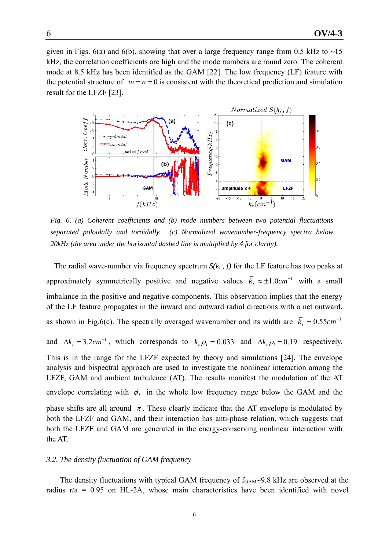given in Figs. 6(a) and 6(b), showing that over a large frequency range from 0.5 kHz to  $\sim$ 15 kHz, the correlation coefficients are high and the mode numbers are round zero. The coherent mode at 8.5 kHz has been identified as the GAM [22]. The low frequency (LF) feature with the potential structure of  $m = n = 0$  is consistent with the theoretical prediction and simulation result for the LFZF [23].



*Fig. 6. (a) Coherent coefficients and (b) mode numbers between two potential fluctuations separated poloidally and toroidally. (c) Normalized wavenumber-frequency spectra below 20kHz (the area under the horizontal dashed line is multiplied by 4 for clarity).* 

The radial wave-number via frequency spectrum  $S(k_r, f)$  for the LF feature has two peaks at approximately symmetrically positive and negative values  $\overline{k}_r \approx \pm 1.0 cm^{-1}$  with a small imbalance in the positive and negative components. This observation implies that the energy of the LF feature propagates in the inward and outward radial directions with a net outward, as shown in Fig.6(c). The spectrally averaged wavenumber and its width are  $\overline{k}_r = 0.55 cm^{-1}$ and  $\Delta k_r = 3.2 \text{cm}^{-1}$ , which corresponds to  $k_r \rho_i = 0.033$  and  $\Delta k_r \rho_i = 0.19$  respectively. This is in the range for the LFZF expected by theory and simulations [24]. The envelope analysis and bispectral approach are used to investigate the nonlinear interaction among the LFZF, GAM and ambient turbulence (AT). The results manifest the modulation of the AT envelope correlating with  $\phi_f$  in the whole low frequency range below the GAM and the phase shifts are all around  $\pi$ . These clearly indicate that the AT envelope is modulated by both the LFZF and GAM, and their interaction has anti-phase relation, which suggests that both the LFZF and GAM are generated in the energy-conserving nonlinear interaction with the AT.

### *3.2. The density fluctuation of GAM frequency*

The density fluctuations with typical GAM frequency of  $f_{GAM}$ ∼9.8 kHz are observed at the radius  $r/a = 0.95$  on HL-2A, whose main characteristics have been identified with novel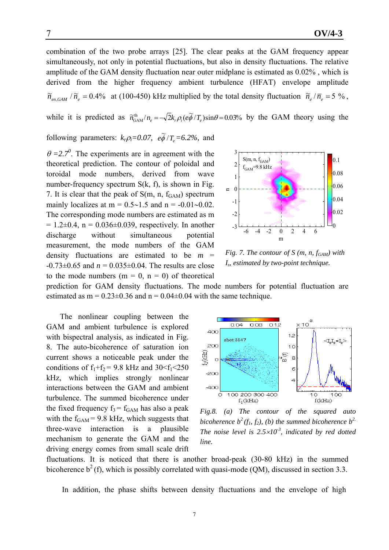combination of the two probe arrays [25]. The clear peaks at the GAM frequency appear simultaneously, not only in potential fluctuations, but also in density fluctuations. The relative amplitude of the GAM density fluctuation near outer midplane is estimated as 0.02% , which is derived from the higher frequency ambient turbulence (HFAT) envelope amplitude  $\widetilde{n}_{e}$ ,*GAM* /  $\widetilde{n}_e = 0.4\%$  at (100-450) kHz multiplied by the total density fluctuation  $\widetilde{n}_e / \overline{n}_e = 5\%$ ,

while it is predicted as  $\tilde{n}_{\text{GAN}}^{\text{th}}/n_e = -\sqrt{2}k_r\rho_i(e\tilde{\phi}/T_e)\sin\theta = 0.03\%$  by the GAM theory using the

# following parameters:  $k_r \rho_i = 0.07$ ,  $e\phi/T_e = 6.2\%$ , and

 $\theta = 2.7^\circ$ . The experiments are in agreement with the theoretical prediction. The contour of poloidal and toroidal mode numbers, derived from wave number-frequency spectrum  $S(k, f)$ , is shown in Fig. 7. It is clear that the peak of  $S(m, n, f_{GAM})$  spectrum mainly localizes at m =  $0.5~1.5$  and n = -0.01∼0.02. The corresponding mode numbers are estimated as m  $= 1.2 \pm 0.4$ , n = 0.036 $\pm 0.039$ , respectively. In another discharge without simultaneous potential measurement, the mode numbers of the GAM density fluctuations are estimated to be *m* =  $-0.73\pm0.65$  and  $n = 0.035\pm0.04$ . The results are close to the mode numbers ( $m = 0$ ,  $n = 0$ ) of theoretical



*Fig. 7. The contour of S (m, n,*  $f_{GAM}$ *) with Is, estimated by two-point technique.* 

prediction for GAM density fluctuations. The mode numbers for potential fluctuation are estimated as  $m = 0.23 \pm 0.36$  and  $n = 0.04 \pm 0.04$  with the same technique.

The nonlinear coupling between the GAM and ambient turbulence is explored with bispectral analysis, as indicated in Fig. 8. The auto-bicoherence of saturation ion current shows a noticeable peak under the conditions of  $f_1 + f_2 = 9.8$  kHz and  $30 < f_1 < 250$ kHz, which implies strongly nonlinear interactions between the GAM and ambient turbulence. The summed bicoherence under the fixed frequency  $f_3 = f_{GAM}$  has also a peak with the  $f_{GAM} = 9.8$  kHz, which suggests that three-wave interaction is a plausible mechanism to generate the GAM and the driving energy comes from small scale drift



*Fig.8. (a) The contour of the squared auto bicoherence*  $b^2$  (f<sub>1</sub>, f<sub>2</sub>), (b) the summed bicoherence  $b^2$ . The noise level is  $2.5 \times 10^{-3}$ , indicated by red dotted *line.* 

fluctuations. It is noticed that there is another broad-peak (30-80 kHz) in the summed bicoherence  $b^2$  (f), which is possibly correlated with quasi-mode (QM), discussed in section 3.3.

In addition, the phase shifts between density fluctuations and the envelope of high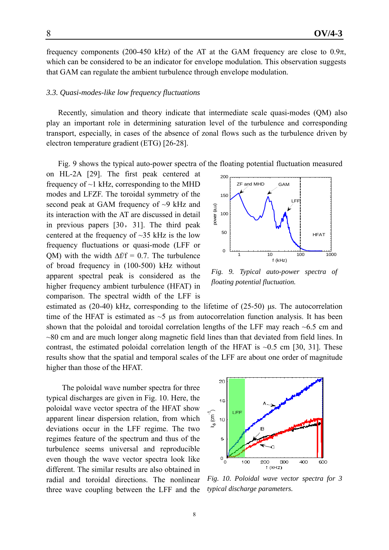frequency components (200-450 kHz) of the AT at the GAM frequency are close to 0.9 $\pi$ , which can be considered to be an indicator for envelope modulation. This observation suggests that GAM can regulate the ambient turbulence through envelope modulation.

### *3.3. Quasi-modes-like low frequency fluctuations*

Recently, simulation and theory indicate that intermediate scale quasi-modes (QM) also play an important role in determining saturation level of the turbulence and corresponding transport, especially, in cases of the absence of zonal flows such as the turbulence driven by electron temperature gradient (ETG) [26-28].

Fig. 9 shows the typical auto-power spectra of the floating potential fluctuation measured

on HL-2A [29]. The first peak centered at frequency of  $\sim$ 1 kHz, corresponding to the MHD modes and LFZF. The toroidal symmetry of the second peak at GAM frequency of ~9 kHz and its interaction with the AT are discussed in detail in previous papers [30,31]. The third peak centered at the frequency of  $\sim$ 35 kHz is the low frequency fluctuations or quasi-mode (LFF or OM) with the width  $\Delta f/f = 0.7$ . The turbulence of broad frequency in (100-500) kHz without apparent spectral peak is considered as the higher frequency ambient turbulence (HFAT) in comparison. The spectral width of the LFF is

estimated as (20-40) kHz, corresponding to the lifetime of (25-50) μs. The autocorrelation time of the HFAT is estimated as  $\sim$ 5 μs from autocorrelation function analysis. It has been shown that the poloidal and toroidal correlation lengths of the LFF may reach  $\sim 6.5$  cm and  $\sim$ 80 cm and are much longer along magnetic field lines than that deviated from field lines. In contrast, the estimated poloidal correlation length of the HFAT is  $\sim 0.5$  cm [30, 31]. These results show that the spatial and temporal scales of the LFF are about one order of magnitude higher than those of the HFAT.

The poloidal wave number spectra for three typical discharges are given in Fig. 10. Here, the poloidal wave vector spectra of the HFAT show apparent linear dispersion relation, from which deviations occur in the LFF regime. The two regimes feature of the spectrum and thus of the turbulence seems universal and reproducible even though the wave vector spectra look like different. The similar results are also obtained in radial and toroidal directions. The nonlinear three wave coupling between the LFF and the



*Fig. 10. Poloidal wave vector spectra for 3 typical discharge parameters.* 



*Fig. 9. Typical auto-power spectra of floating potential fluctuation.*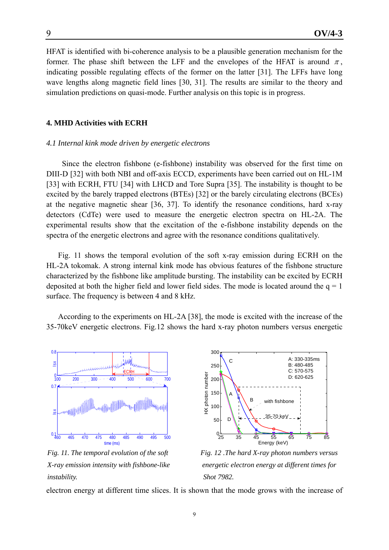HFAT is identified with bi-coherence analysis to be a plausible generation mechanism for the former. The phase shift between the LFF and the envelopes of the HFAT is around  $\pi$ , indicating possible regulating effects of the former on the latter [31]. The LFFs have long wave lengths along magnetic field lines [30, 31]. The results are similar to the theory and simulation predictions on quasi-mode. Further analysis on this topic is in progress.

### **4. MHD Activities with ECRH**

### *4.1 Internal kink mode driven by energetic electrons*

Since the electron fishbone (e-fishbone) instability was observed for the first time on DIII-D [32] with both NBI and off-axis ECCD, experiments have been carried out on HL-1M [33] with ECRH, FTU [34] with LHCD and Tore Supra [35]. The instability is thought to be excited by the barely trapped electrons (BTEs) [32] or the barely circulating electrons (BCEs) at the negative magnetic shear [36, 37]. To identify the resonance conditions, hard x-ray detectors (CdTe) were used to measure the energetic electron spectra on HL-2A. The experimental results show that the excitation of the e-fishbone instability depends on the spectra of the energetic electrons and agree with the resonance conditions qualitatively.

Fig. 11 shows the temporal evolution of the soft x-ray emission during ECRH on the HL-2A tokomak. A strong internal kink mode has obvious features of the fishbone structure characterized by the fishbone like amplitude bursting. The instability can be excited by ECRH deposited at both the higher field and lower field sides. The mode is located around the  $q = 1$ surface. The frequency is between 4 and 8 kHz.

According to the experiments on HL-2A [38], the mode is excited with the increase of the 35-70keV energetic electrons. Fig.12 shows the hard x-ray photon numbers versus energetic



*instability. Shot 7982.* 



*Fig. 11. The temporal evolution of the soft* Fig. 12 .The hard X-ray photon numbers versus *X-ray emission intensity with fishbone-like energetic electron energy at different times for* 

electron energy at different time slices. It is shown that the mode grows with the increase of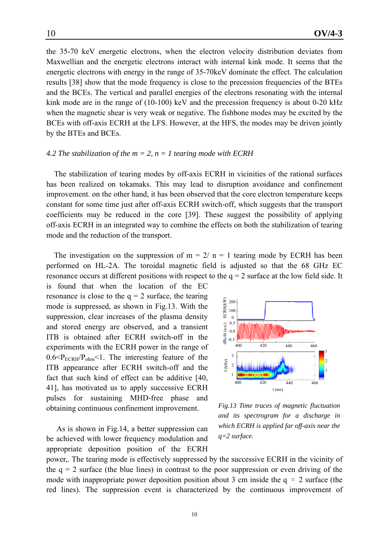the 35-70 keV energetic electrons, when the electron velocity distribution deviates from Maxwellian and the energetic electrons interact with internal kink mode. It seems that the energetic electrons with energy in the range of 35-70keV dominate the effect. The calculation results [38] show that the mode frequency is close to the precession frequencies of the BTEs and the BCEs. The vertical and parallel energies of the electrons resonating with the internal kink mode are in the range of (10-100) keV and the precession frequency is about 0-20 kHz when the magnetic shear is very weak or negative. The fishbone modes may be excited by the BCEs with off-axis ECRH at the LFS. However, at the HFS, the modes may be driven jointly by the BTEs and BCEs.

### *4.2 The stabilization of the m = 2, n = 1 tearing mode with ECRH*

The stabilization of tearing modes by off-axis ECRH in vicinities of the rational surfaces has been realized on tokamaks. This may lead to disruption avoidance and confinement improvement. on the other hand, it has been observed that the core electron temperature keeps constant for some time just after off-axis ECRH switch-off, which suggests that the transport coefficients may be reduced in the core [39]. These suggest the possibility of applying off-axis ECRH in an integrated way to combine the effects on both the stabilization of tearing mode and the reduction of the transport.

The investigation on the suppression of  $m = 2/n = 1$  tearing mode by ECRH has been performed on HL-2A. The toroidal magnetic field is adjusted so that the 68 GHz EC resonance occurs at different positions with respect to the  $q = 2$  surface at the low field side. It

is found that when the location of the EC resonance is close to the  $q = 2$  surface, the tearing mode is suppressed, as shown in Fig.13. With the suppression, clear increases of the plasma density and stored energy are observed, and a transient ITB is obtained after ECRH switch-off in the experiments with the ECRH power in the range of  $0.6 \leq P_{\text{ECRH}}/P_{\text{ohm}} \leq 1$ . The interesting feature of the ITB appearance after ECRH switch-off and the fact that such kind of effect can be additive [40, 41], has motivated us to apply successive ECRH pulses for sustaining MHD-free phase and obtaining continuous confinement improvement.

As is shown in Fig.14, a better suppression can be achieved with lower frequency modulation and appropriate deposition position of the ECRH



*Fig.13 Time traces of magnetic fluctuation and its spectrogram for a discharge in which ECRH is applied far off-axis near the q=2 surface.* 

power,. The tearing mode is effectively suppressed by the successive ECRH in the vicinity of the  $q = 2$  surface (the blue lines) in contrast to the poor suppression or even driving of the mode with inappropriate power deposition position about 3 cm inside the  $q = 2$  surface (the red lines). The suppression event is characterized by the continuous improvement of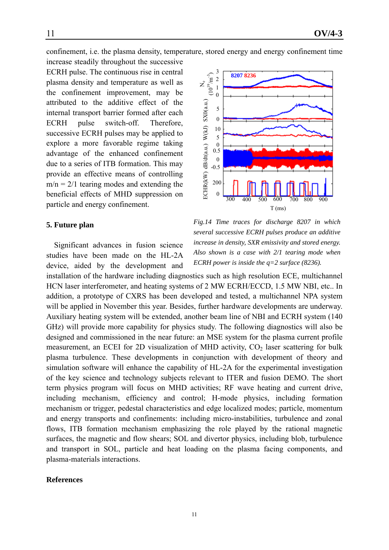confinement, i.e. the plasma density, temperature, stored energy and energy confinement time

increase steadily throughout the successive ECRH pulse. The continuous rise in central plasma density and temperature as well as the confinement improvement, may be attributed to the additive effect of the internal transport barrier formed after each ECRH pulse switch-off. Therefore, successive ECRH pulses may be applied to explore a more favorable regime taking advantage of the enhanced confinement due to a series of ITB formation. This may provide an effective means of controlling  $m/n = 2/1$  tearing modes and extending the beneficial effects of MHD suppression on particle and energy confinement.

## **5. Future plan**

Significant advances in fusion science studies have been made on the HL-2A device, aided by the development and



**8207 8236**

5

 $Z^e$ <br> $(10^{19}/\text{m}^{-3})$ <br> $(10^{19}/\text{m}^{-3})$ 

*Fig.14 Time traces for discharge 8207 in which several successive ECRH pulses produce an additive increase in density, SXR emissivity and stored energy. Also shown is a case with 2/1 tearing mode when ECRH power is inside the q=2 surface (8236).* 

installation of the hardware including diagnostics such as high resolution ECE, multichannel HCN laser interferometer, and heating systems of 2 MW ECRH/ECCD, 1.5 MW NBI, etc.. In addition, a prototype of CXRS has been developed and tested, a multichannel NPA system will be applied in November this year. Besides, further hardware developments are underway. Auxiliary heating system will be extended, another beam line of NBI and ECRH system (140 GHz) will provide more capability for physics study. The following diagnostics will also be designed and commissioned in the near future: an MSE system for the plasma current profile measurement, an ECEI for 2D visualization of MHD activity, CO<sub>2</sub> laser scattering for bulk plasma turbulence. These developments in conjunction with development of theory and simulation software will enhance the capability of HL-2A for the experimental investigation of the key science and technology subjects relevant to ITER and fusion DEMO. The short term physics program will focus on MHD activities; RF wave heating and current drive, including mechanism, efficiency and control; H-mode physics, including formation mechanism or trigger, pedestal characteristics and edge localized modes; particle, momentum and energy transports and confinements: including micro-instabilities, turbulence and zonal flows, ITB formation mechanism emphasizing the role played by the rational magnetic surfaces, the magnetic and flow shears; SOL and divertor physics, including blob, turbulence and transport in SOL, particle and heat loading on the plasma facing components, and plasma-materials interactions.

### **References**